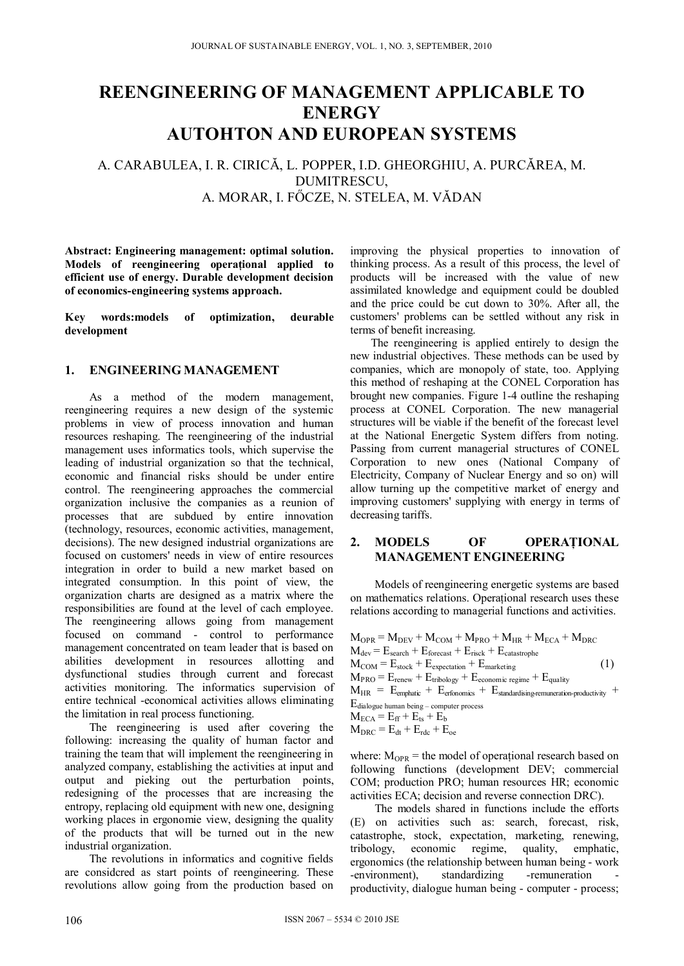# **REENGINEERING OF MANAGEMENT APPLICABLE TO ENERGY AUTOHTON AND EUROPEAN SYSTEMS**

# A. CARABULEA, I. R. CIRICĂ, L. POPPER, I.D. GHEORGHIU, A. PURCĂREA, M. DUMITRESCU, A. MORAR, I. FŐCZE, N. STELEA, M. VĂDAN

**Abstract: Engineering management: optimal solution. Models of reengineering operaţional applied to efficient use of energy. Durable development decision of economics-engineering systems approach.** 

**Key words:models of optimization, deurable development** 

# **1. ENGINEERING MANAGEMENT**

As a method of the modern management, reengineering requires a new design of the systemic problems in view of process innovation and human resources reshaping. The reengineering of the industrial management uses informatics tools, which supervise the leading of industrial organization so that the technical, economic and financial risks should be under entire control. The reengineering approaches the commercial organization inclusive the companies as a reunion of processes that are subdued by entire innovation (technology, resources, economic activities, management, decisions). The new designed industrial organizations are focused on customers' needs in view of entire resources integration in order to build a new market based on integrated consumption. In this point of view, the organization charts are designed as a matrix where the responsibilities are found at the level of cach employee. The reengineering allows going from management focused on command - control to performance management concentrated on team leader that is based on abilities development in resources allotting and dysfunctional studies through current and forecast activities monitoring. The informatics supervision of entire technical -economical activities allows eliminating the limitation in real process functioning.

The reengineering is used after covering the following: increasing the quality of human factor and training the team that will implement the reengineering in analyzed company, establishing the activities at input and output and pieking out the perturbation points, redesigning of the processes that are increasing the entropy, replacing old equipment with new one, designing working places in ergonomie view, designing the quality of the products that will be turned out in the new industrial organization.

The revolutions in informatics and cognitive fields are considcred as start points of reengineering. These revolutions allow going from the production based on improving the physical properties to innovation of thinking process. As a result of this process, the level of products will be increased with the value of new assimilated knowledge and equipment could be doubled and the price could be cut down to 30%. After all, the customers' problems can be settled without any risk in terms of benefit increasing.

The reengineering is applied entirely to design the new industrial objectives. These methods can be used by companies, which are monopoly of state, too. Applying this method of reshaping at the CONEL Corporation has brought new companies. Figure 1-4 outline the reshaping process at CONEL Corporation. The new managerial structures will be viable if the benefit of the forecast level at the National Energetic System differs from noting. Passing from current managerial structures of CONEL Corporation to new ones (National Company of Electricity, Company of Nuclear Energy and so on) will allow turning up the competitive market of energy and improving customers' supplying with energy in terms of decreasing tariffs.

## **2. MODELS OF OPERAŢIONAL MANAGEMENT ENGINEERING**

Models of reengineering energetic systems are based on mathematics relations. Operaţional research uses these relations according to managerial functions and activities.

$$
\begin{aligned} &\text{M}_{\text{OPR}} = \text{M}_{\text{DEV}} + \text{M}_{\text{COM}} + \text{M}_{\text{PRO}} + \text{M}_{\text{HR}} + \text{M}_{\text{ECA}} + \text{M}_{\text{DRC}}\\ &\text{M}_{\text{dev}} = \text{E}_{\text{search}} + \text{E}_{\text{forecast}} + \text{E}_{\text{risk}} + \text{E}_{\text{catastrophe}}\\ &\text{M}_{\text{COM}} = \text{E}_{\text{stock}} + \text{E}_{\text{expectation}} + \text{E}_{\text{marketing}}\\ &\text{M}_{\text{PRO}} = \text{E}_{\text{renew}} + \text{E}_{\text{tribology}} + \text{E}_{\text{economic regime}} + \text{E}_{\text{quality}}\\ &\text{M}_{\text{HR}} = \text{E}_{\text{emphatic}} + \text{E}_{\text{erforms}} + \text{E}_{\text{standardising-remuneration-productivity}} +\\ &\text{E}_{\text{dialogue human being}-\text{computer process}}\\ &\text{M}_{\text{ECA}} = \text{E}_{\text{ff}} + \text{E}_{\text{ts}} + \text{E}_{\text{b}}\\ &\text{M}_{\text{DRC}} = \text{E}_{\text{dt}} + \text{E}_{\text{rdc}} + \text{E}_{\text{oc}} \end{aligned} \tag{1}
$$

where:  $M_{OPR}$  = the model of operational research based on following functions (development DEV; commercial COM; production PRO; human resources HR; economic activities ECA; decision and reverse connection DRC).

The models shared in functions include the efforts (E) on activities such as: search, forecast, risk, catastrophe, stock, expectation, marketing, renewing, tribology, economic regime, quality, emphatic, ergonomics (the relationship between human being - work -environment), standardizing -remuneration productivity, dialogue human being - computer - process;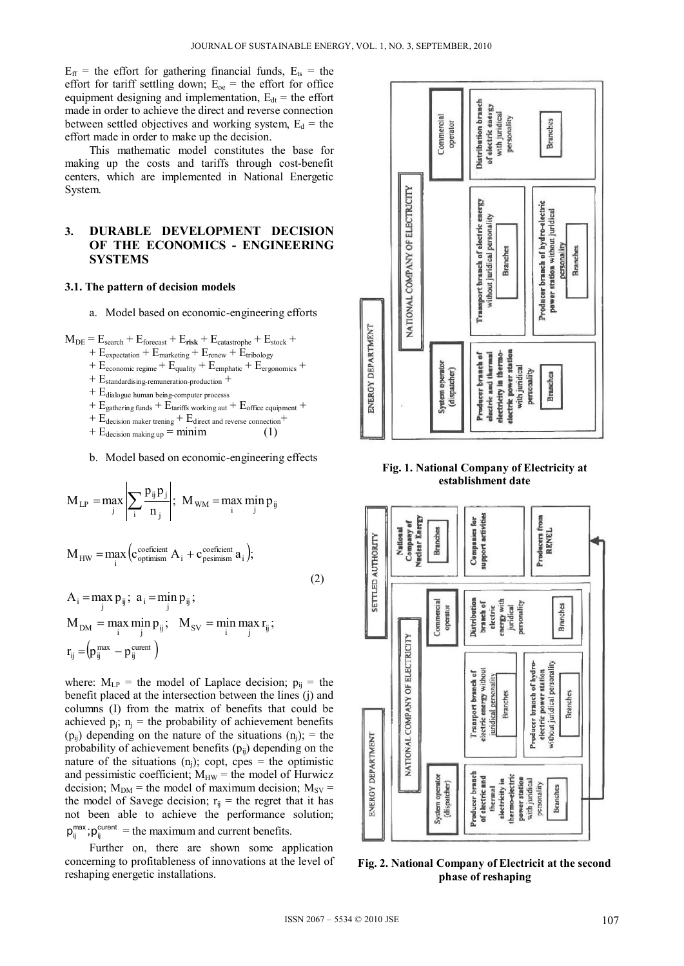$E_{\text{ff}}$  = the effort for gathering financial funds,  $E_{\text{ts}}$  = the effort for tariff settling down;  $E_{oe}$  = the effort for office equipment designing and implementation,  $E_{dt}$  = the effort made in order to achieve the direct and reverse connection between settled objectives and working system,  $E_d$  = the effort made in order to make up the decision.

This mathematic model constitutes the base for making up the costs and tariffs through cost-benefit centers, which are implemented in National Energetic System.

# **3. DURABLE DEVELOPMENT DECISION OF THE ECONOMICS - ENGINEERING SYSTEMS**

#### **3.1. The pattern of decision models**

- a. Model based on economic-engineering efforts
- $M_{DE}$  =  $E_{search}$  +  $E_{forecast}$  +  $E_{risk}$  +  $E_{castartope}$  +  $E_{stock}$  +
	- $+ E_{expectation} + E_{marketing} + E_{renew} + E_{tribology}$
	- +  $E_{\text{economic regime}} + E_{\text{quality}} + E_{\text{emphatic}} + E_{\text{ergonomies}} +$
	- + E<sub>standardising-remuneration-production</sub> +
	- $+ E_{\text{dialoque human being-computer process}}$
	- $+ E_{\text{gathering funds}} + E_{\text{tariffs working aut}} + E_{\text{office equipment}} +$
	-
	- + E<sub>decision maker trening</sub> + E<sub>direct</sub> and reverse connection<sup>+</sup><br>+ E<sub>decision making up</sub> = minim (1)  $+ E_{\text{decision making up}} = \text{minimum}$

b. Model based on economic-engineering effects

$$
M_{LP} = \max_{j} \left| \sum_{i} \frac{p_{ij} p_{j}}{n_{j}} \right|; \ M_{WM} = \max_{i} \min_{j} p_{ij}
$$

$$
M_{HW} = \underset{i}{max} \left( c_{\text{optimism}}^{\text{coefficient}} \ A_i + c_{\text{pesimism}}^{\text{coefficient}} \ a_i \right);
$$

$$
A_i = \max_j p_{ij}; \quad a_i = \min_j p_{ij};
$$
  
\n
$$
M_{DM} = \max_i \min_j p_{ij}; \quad M_{SV} = \min_i \max_j r_{ij};
$$
  
\n
$$
r_{ij} = (p_{ij}^{\max} - p_{ij}^{\text{current}})
$$

where:  $M_{LP}$  = the model of Laplace decision;  $p_{ij}$  = the benefit placed at the intersection between the lines (j) and columns (I) from the matrix of benefits that could be achieved  $p_i$ ;  $n_i$  = the probability of achievement benefits  $(p_{ii})$  depending on the nature of the situations  $(n_i)$ ; = the probability of achievement benefits  $(p_{ii})$  depending on the nature of the situations  $(n<sub>i</sub>)$ ; copt, cpes = the optimistic and pessimistic coefficient;  $M_{HW}$  = the model of Hurwicz decision;  $M_{DM}$  = the model of maximum decision;  $M_{SV}$  = the model of Savege decision;  $r_{ij}$  = the regret that it has not been able to achieve the performance solution;  $p_{ij}^{max}$ ;  $p_{ij}^{current}$  = the maximum and current benefits.

Further on, there are shown some application concerning to profitableness of innovations at the level of reshaping energetic installations.



**Fig. 1. National Company of Electricity at establishment date** 



**Fig. 2. National Company of Electricit at the second phase of reshaping** 

(2)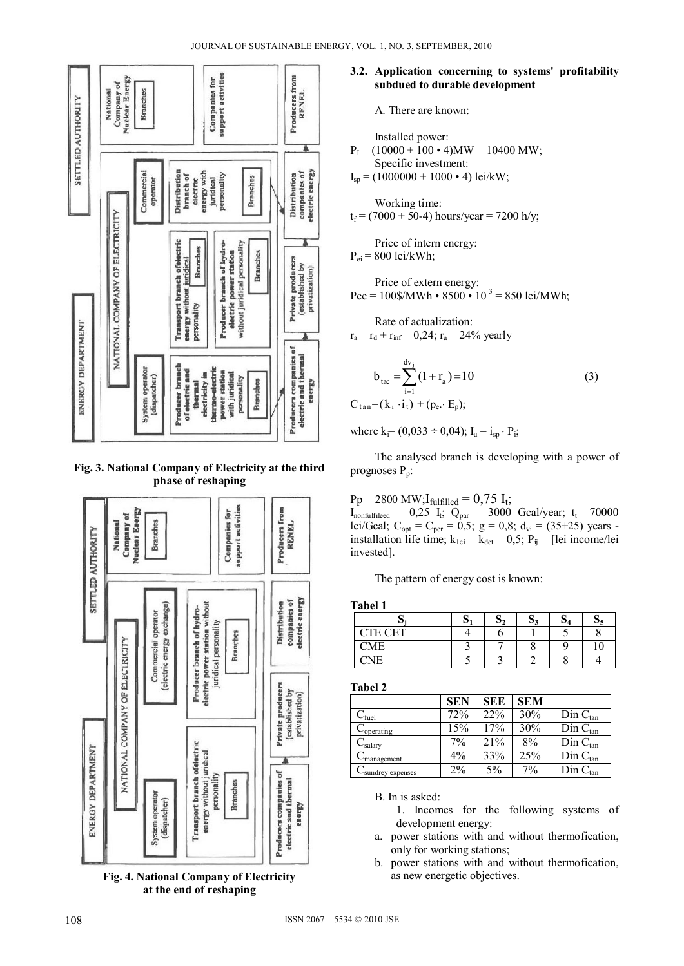

#### **Fig. 3. National Company of Electricity at the third phase of reshaping**



**Fig. 4. National Company of Electricity at the end of reshaping** 

### **3.2. Application concerning to systems' profitability subdued to durable development**

A. There are known:

\n Insteadled power:  
\n
$$
P_I = (10000 + 100 \cdot 4)MW = 10400 MW;
$$
\n Specific investment:  
\n
$$
I_{sp} = (1000000 + 1000 \cdot 4) \text{ lei/kW};
$$
\n

Working time:  $t_f = (7000 + 50-4)$  hours/year = 7200 h/y;

Price of intern energy:

 $P_{ei}$  = 800 lei/kWh;

Price of extern energy: Pee =  $100\frac{\text{S}}{\text{M}}$  +  $8500 \cdot 10^{-3}$  = 850 lei/MWh;

Rate of actualization:  

$$
r_a = r_d + r_{inf} = 0.24
$$
;  $r_a = 24\%$  yearly

$$
b_{\text{tac}} = \sum_{i=1}^{d_{\text{v}_i}} (1 + r_{\text{a}}) = 10
$$
 (3)  

$$
C_{\text{tan}} = (k_i \cdot i_1) + (p_{\text{e}} \cdot E_{\text{p}});
$$

where  $k_i = (0.033 - 0.04)$ ;  $I_u = i_{sp} \cdot P_i$ ;

The analysed branch is developing with a power of prognoses  $P_p$ :

 $Pp = 2800 \text{ MW}; I_{\text{fulfilled}} = 0.75 \text{ I}_{t};$ 

 $I_{nonfulified} = 0.25 I_t$ ;  $Q_{par} = 3000$  Gcal/year;  $t_t = 70000$ lei/Gcal;  $C_{opt} = C_{per} = 0.5$ ; g = 0,8; d<sub>vi</sub> = (35+25) years installation life time;  $k_{1ei} = k_{det} = 0.5$ ;  $P_{ij} =$  [lei income/lei invested].

The pattern of energy cost is known:

**Tabel 1** 

|                | ບ |  | IJΔ |  |
|----------------|---|--|-----|--|
| <b>CTE CET</b> |   |  |     |  |
| CME            |   |  | ω   |  |
| 'NIE           |   |  |     |  |

**Tabel 2** 

|                               | <b>SEN</b> | <b>SEE</b> | <b>SEM</b> |                  |
|-------------------------------|------------|------------|------------|------------------|
| $C_{\text{fuel}}$             | 72%        | 22%        | 30%        | $Din C_{tan}$    |
| $C_{\text{operating}}$        | 15%        | 17%        | 30%        | $D$ in $C_{tan}$ |
| $C_{\text{salary}}$           | 7%         | 21%        | 8%         | $D$ in $C_{tan}$ |
| $C_{\text{management}}$       | 4%         | 33%        | 25%        | $Din C_{tan}$    |
| C <sub>sundrey</sub> expenses | $2\%$      | 5%         | 7%         | $D$ in $C_{tan}$ |

B. In is asked:

1. Incomes for the following systems of development energy:

- a. power stations with and without thermofication, only for working stations;
- b. power stations with and without thermofication, as new energetic objectives.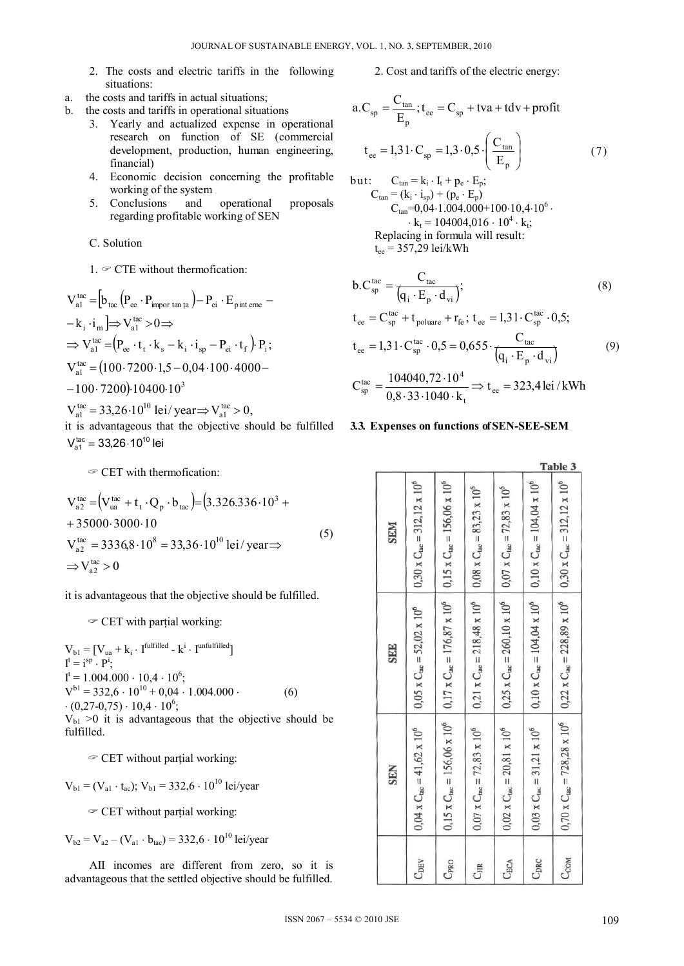- 2. The costs and electric tariffs in the following situations<sup>-</sup>
- a. the costs and tariffs in actual situations;
- b. the costs and tariffs in operational situations
	- 3. Yearly and actualized expense in operational research on function of SE (commercial development, production, human engineering, financial)
	- 4. Economic decision concerning the profitable working of the system
	- 5. Conclusions and operational proposals regarding profitable working of SEN

C. Solution

1.  $\mathcal F$  CTE without thermofication:

$$
V_{a1}^{tac} = [b_{tac} (P_{ee} \cdot P_{impor tan ta}) - P_{ei} \cdot E_{pint erre} -
$$
  
\n
$$
- k_i \cdot i_m] \Rightarrow V_{a1}^{tac} > 0 \Rightarrow
$$
  
\n
$$
\Rightarrow V_{a1}^{tac} = (P_{ee} \cdot t_t \cdot k_s - k_i \cdot i_{sp} - P_{ei} \cdot t_f) P_i ;
$$
  
\n
$$
V_{a1}^{tac} = (100 \cdot 7200 \cdot 1, 5 - 0, 04 \cdot 100 \cdot 4000 -
$$
  
\n
$$
- 100 \cdot 7200) \cdot 10400 \cdot 10^3
$$
  
\n
$$
V_{tac}^{tac} = 22.26 \cdot 10^{10} \text{ kg/sec} \times V_{tac}^{tac} = 0
$$

 $V_{\text{al}}^{\text{tac}} = 33,26 \cdot 10^{10}$  lei/year  $\Rightarrow$   $V_{\text{al}}^{\text{tac}} > 0$ , it is advantageous that the objective should be fulfilled  $V_{\rm at}^{\rm tac} = 33,26 \cdot 10^{10}$  lei

 $\mathcal$  CET with thermofication:

$$
V_{a2}^{tac} = (V_{ua}^{tac} + t_t \cdot Q_p \cdot b_{tac}) = (3.326.336 \cdot 10^3 + 35000 \cdot 3000 \cdot 10
$$
  
\n
$$
V_{a2}^{tac} = 3336.8 \cdot 10^8 = 33.36 \cdot 10^{10} \text{ lei/year} \Rightarrow
$$
  
\n
$$
\Rightarrow V_{a2}^{tac} > 0
$$
\n(5)

it is advantageous that the objective should be fulfilled.

 $\mathcal$  CET with partial working:

 $\begin{array}{l} \displaystyle V_{b1} = [V_{ua} + k_i \cdot \, I^{full\,field} - k^i \cdot \, I^{unful\,field}] \\ I^t = i^{sp} \cdot P^i, \end{array}$  $I^t = 1.004.000 \cdot 10.4 \cdot 10^6;$  $V^{b1} = 332.6 \cdot 10^{10} + 0.04 \cdot 1.004.000$ .  $(6)$  $(0.27-0.75) \cdot 10.4 \cdot 10^6$ ;

 $V_{b1} > 0$  it is advantageous that the objective should be fulfilled.

 $\mathcal$  CET without partial working:

$$
V_{b1} = (V_{a1} \cdot t_{ac})
$$
;  $V_{b1} = 332.6 \cdot 10^{10}$  lei/year

 $\mathcal$  CET without partial working:

$$
V_{b2} = V_{a2} - (V_{a1} \cdot b_{tac}) = 332.6 \cdot 10^{10}
$$
 lei/year

All incomes are different from zero, so it is advantageous that the settled objective should be fulfilled.

2. Cost and tariffs of the electric energy:

$$
a.C_{sp} = \frac{C_{tan}}{E_p}; t_{ee} = C_{sp} + tva + tdv + profit
$$
  
\n
$$
t_{ee} = 1,31 \cdot C_{sp} = 1,3 \cdot 0,5 \cdot \left(\frac{C_{tan}}{E_p}\right)
$$
  
\nbut:  
\n
$$
C_{tan} = k_i \cdot I_t + p_e \cdot E_p;
$$
  
\n
$$
C_{tan} = (k_i \cdot i_{sp}) + (p_e \cdot E_p)
$$
  
\n
$$
C_{tan} = 0,04 \cdot 1.004.000 + 100 \cdot 10,4 \cdot 10^{6} \cdot k_t = 104004,016 \cdot 10^{4} \cdot k_t;
$$
 (7)

Replacing in formula will result:  

$$
t_{ee} = 357,29
$$
 lei/kWh

$$
b.C_{sp}^{tac} = \frac{C_{tac}}{(q_i \cdot E_p \cdot d_{vi})};
$$
\n
$$
t_{ee} = C_{sp}^{tac} + t_{poluare} + r_{fe}; t_{ee} = 1,31 \cdot C_{sp}^{tac} \cdot 0,5;
$$
\n
$$
t_{ee} = 1,31 \cdot C_{sp}^{tac} \cdot 0,5 = 0,655 \cdot \frac{C_{tac}}{(q_i \cdot E_p \cdot d_{vi})}
$$
\n
$$
C_{sp}^{tac} = \frac{104040,72 \cdot 10^4}{0,8 \cdot 33 \cdot 1040 \cdot k_t} \Rightarrow t_{ee} = 323,4 \text{ lei } / \text{kWh}
$$
\n(9)

#### 3.3. Expenses on functions of SEN-SEE-SEM

|            |                                                   |                                                                                                                                                           |                                                                                    |                                                                                               |                                                                                               | Table 3                                                                                                                                               |
|------------|---------------------------------------------------|-----------------------------------------------------------------------------------------------------------------------------------------------------------|------------------------------------------------------------------------------------|-----------------------------------------------------------------------------------------------|-----------------------------------------------------------------------------------------------|-------------------------------------------------------------------------------------------------------------------------------------------------------|
| <b>SEM</b> | $0,30 \times C_{\text{tac}} = 312,12 \times 10^6$ |                                                                                                                                                           |                                                                                    |                                                                                               |                                                                                               |                                                                                                                                                       |
| <b>SEE</b> | $0,05 \times C_{\text{lac}} = 52,02 \times 10^6$  |                                                                                                                                                           | $0.21$ x $C_{\text{ac}} = 218,48$ x $10^6$ 0.08 x $C_{\text{ac}} = 83,23$ x $10^6$ | $0.25 \times C_{\text{rac}} = 260,10 \times 10^6$ 0.07 x $C_{\text{rac}} = 72,83 \times 10^6$ | $0,10 \times C_{\text{ac}} = 104,04 \times 10^6$ 0,10 x $C_{\text{lac}} = 104,04 \times 10^6$ |                                                                                                                                                       |
| <b>SEN</b> | $0.04 \times C_{\text{tac}} = 41,62 \times 10^6$  | $0.15 \times C_{\text{inc}} = 156,06 \times 10^6$   $0.17 \times C_{\text{inc}} = 176,87 \times 10^6$   $0.15 \times C_{\text{inc}} = 156,06 \times 10^6$ | $0.07 \times C_{\text{tac}} = 72.83 \times 10^6$                                   | $0.02 \times C_{\text{tac}} = 20.81 \times 10^6$                                              | $0,03 \times C_{\text{tac}} = 31,21 \times 10^6$                                              | $0.70 \times C_{\text{rac}} = 728.28 \times 10^6$ $0.22 \times C_{\text{rac}} = 228.89 \times 10^6$ $0.30 \times C_{\text{rac}} = 312.12 \times 10^6$ |
|            | C <sub>DEV</sub>                                  | C <sub>PRO</sub>                                                                                                                                          | CHR                                                                                | CECA                                                                                          | C <sub>DRC</sub>                                                                              | CCOM                                                                                                                                                  |